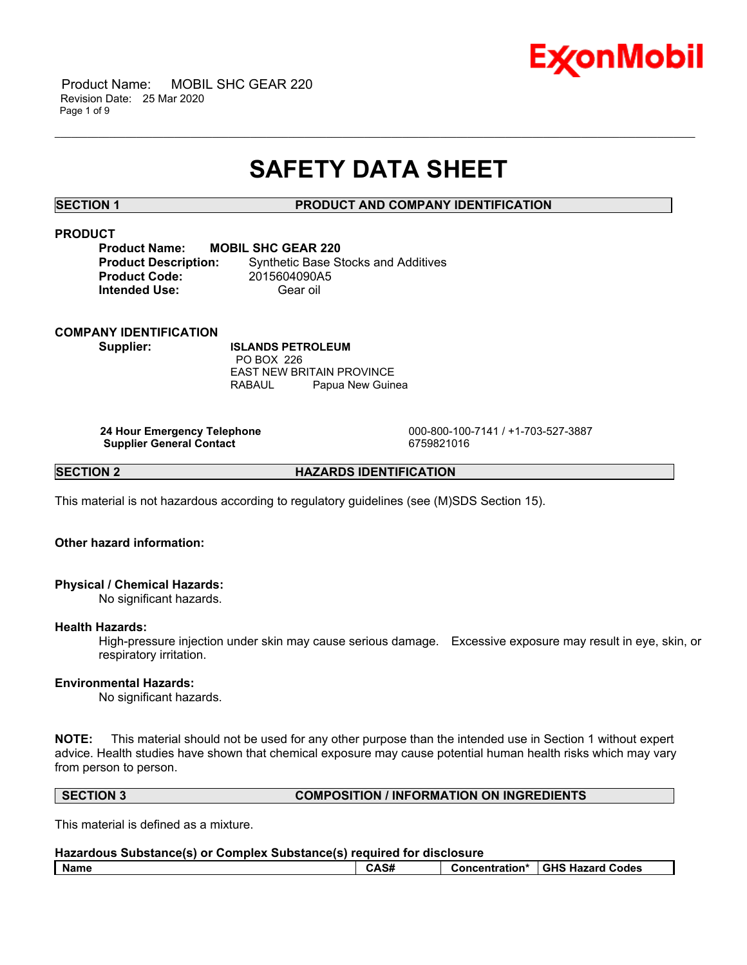

 Product Name: MOBIL SHC GEAR 220 Revision Date: 25 Mar 2020 Page 1 of 9

## **SAFETY DATA SHEET**

\_\_\_\_\_\_\_\_\_\_\_\_\_\_\_\_\_\_\_\_\_\_\_\_\_\_\_\_\_\_\_\_\_\_\_\_\_\_\_\_\_\_\_\_\_\_\_\_\_\_\_\_\_\_\_\_\_\_\_\_\_\_\_\_\_\_\_\_\_\_\_\_\_\_\_\_\_\_\_\_\_\_\_\_\_\_\_\_\_\_\_\_\_\_\_\_\_\_\_\_\_\_\_\_\_\_\_\_\_\_\_\_\_\_\_\_\_\_

#### **SECTION 1 PRODUCT AND COMPANY IDENTIFICATION**

### **PRODUCT**

| <b>Product Name:</b>       |  |
|----------------------------|--|
| <b>Product Description</b> |  |
| <b>Product Code:</b>       |  |
| Intended Use:              |  |

**MOBIL SHC GEAR 220 Product Base Stocks and Additives Product Code:** 2015604090A5 Gear oil

#### **COMPANY IDENTIFICATION**

**Supplier: ISLANDS PETROLEUM** PO BOX 226 EAST NEW BRITAIN PROVINCE RABAUL Papua New Guinea

**Supplier General Contact** 6759821016

 **24 Hour Emergency Telephone** 000-800-100-7141 / +1-703-527-3887

**SECTION 2 HAZARDS IDENTIFICATION** 

This material is not hazardous according to regulatory guidelines (see (M)SDS Section 15).

### **Other hazard information:**

#### **Physical / Chemical Hazards:**

No significant hazards.

#### **Health Hazards:**

High-pressure injection under skin may cause serious damage. Excessive exposure may result in eye, skin, or respiratory irritation.

### **Environmental Hazards:**

No significant hazards.

**NOTE:** This material should not be used for any other purpose than the intended use in Section 1 without expert advice. Health studies have shown that chemical exposure may cause potential human health risks which may vary from person to person.

#### **SECTION 3 COMPOSITION / INFORMATION ON INGREDIENTS**

This material is defined as a mixture.

| Hazardous Substance(s) or Complex Substance(s) required for disclosure |      |  |                                   |
|------------------------------------------------------------------------|------|--|-----------------------------------|
| l Name                                                                 | CAS# |  | Concentration*   GHS Hazard Codes |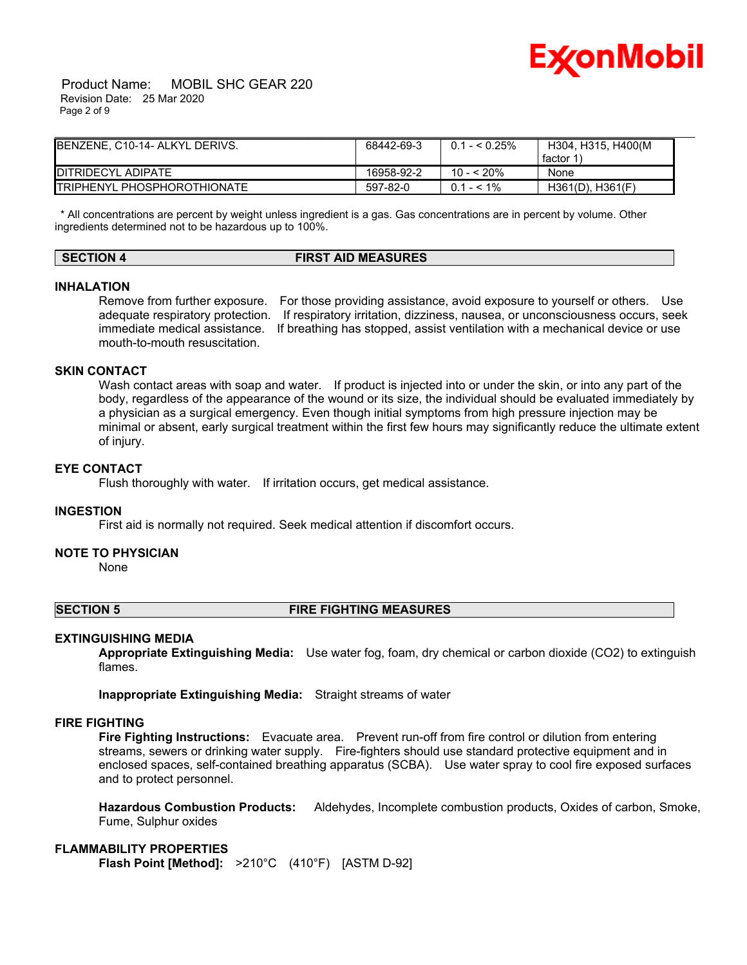

 Product Name: MOBIL SHC GEAR 220 Revision Date: 25 Mar 2020 Page 2 of 9

| <b>IBENZENE. C10-14- ALKYL DERIVS.</b> | 68442-69-3 | $0.1 - 5.25\%$ | H304, H315, H400(M    |
|----------------------------------------|------------|----------------|-----------------------|
|                                        |            |                | factor 1              |
| DITRIDECYL ADIPATE                     | 16958-92-2 | 10 - < 20%     | <b>None</b>           |
| <b>ITRIPHENYL PHOSPHOROTHIONATE</b>    | 597-82-0   | $0.1 - 5.1\%$  | $H361(D)$ , $H361(F)$ |

 \* All concentrations are percent by weight unless ingredient is a gas. Gas concentrations are in percent by volume. Other ingredients determined not to be hazardous up to 100%.

### **SECTION 4 FIRST AID MEASURES**

#### **INHALATION**

Remove from further exposure. For those providing assistance, avoid exposure to yourself or others. Use adequate respiratory protection. If respiratory irritation, dizziness, nausea, or unconsciousness occurs, seek immediate medical assistance. If breathing has stopped, assist ventilation with a mechanical device or use mouth-to-mouth resuscitation.

#### **SKIN CONTACT**

Wash contact areas with soap and water. If product is injected into or under the skin, or into any part of the body, regardless of the appearance of the wound or its size, the individual should be evaluated immediately by a physician as a surgical emergency. Even though initial symptoms from high pressure injection may be minimal or absent, early surgical treatment within the first few hours may significantly reduce the ultimate extent of injury.

#### **EYE CONTACT**

Flush thoroughly with water. If irritation occurs, get medical assistance.

#### **INGESTION**

First aid is normally not required. Seek medical attention if discomfort occurs.

#### **NOTE TO PHYSICIAN**

None

#### **SECTION 5 FIRE FIGHTING MEASURES**

#### **EXTINGUISHING MEDIA**

**Appropriate Extinguishing Media:** Use water fog, foam, dry chemical or carbon dioxide (CO2) to extinguish flames.

**Inappropriate Extinguishing Media:** Straight streams of water

#### **FIRE FIGHTING**

**Fire Fighting Instructions:** Evacuate area. Prevent run-off from fire control or dilution from entering streams, sewers or drinking water supply. Fire-fighters should use standard protective equipment and in enclosed spaces, self-contained breathing apparatus (SCBA). Use water spray to cool fire exposed surfaces and to protect personnel.

**Hazardous Combustion Products:** Aldehydes, Incomplete combustion products, Oxides of carbon, Smoke, Fume, Sulphur oxides

#### **FLAMMABILITY PROPERTIES**

**Flash Point [Method]:** >210°C (410°F) [ASTM D-92]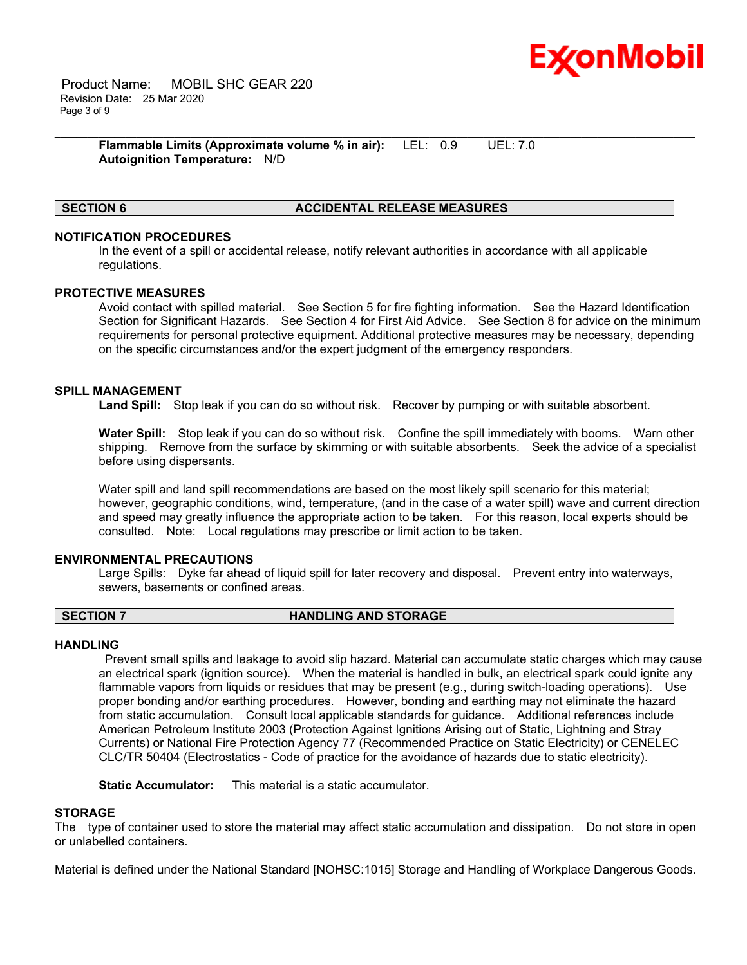

 Product Name: MOBIL SHC GEAR 220 Revision Date: 25 Mar 2020 Page 3 of 9

> **Flammable Limits (Approximate volume % in air):** LEL: 0.9 UEL: 7.0 **Autoignition Temperature:** N/D

#### **SECTION 6 ACCIDENTAL RELEASE MEASURES**

#### **NOTIFICATION PROCEDURES**

In the event of a spill or accidental release, notify relevant authorities in accordance with all applicable regulations.

\_\_\_\_\_\_\_\_\_\_\_\_\_\_\_\_\_\_\_\_\_\_\_\_\_\_\_\_\_\_\_\_\_\_\_\_\_\_\_\_\_\_\_\_\_\_\_\_\_\_\_\_\_\_\_\_\_\_\_\_\_\_\_\_\_\_\_\_\_\_\_\_\_\_\_\_\_\_\_\_\_\_\_\_\_\_\_\_\_\_\_\_\_\_\_\_\_\_\_\_\_\_\_\_\_\_\_\_\_\_\_\_\_\_\_\_\_\_

#### **PROTECTIVE MEASURES**

Avoid contact with spilled material. See Section 5 for fire fighting information. See the Hazard Identification Section for Significant Hazards. See Section 4 for First Aid Advice. See Section 8 for advice on the minimum requirements for personal protective equipment. Additional protective measures may be necessary, depending on the specific circumstances and/or the expert judgment of the emergency responders.

#### **SPILL MANAGEMENT**

**Land Spill:** Stop leak if you can do so without risk. Recover by pumping or with suitable absorbent.

**Water Spill:** Stop leak if you can do so without risk. Confine the spill immediately with booms. Warn other shipping. Remove from the surface by skimming or with suitable absorbents. Seek the advice of a specialist before using dispersants.

Water spill and land spill recommendations are based on the most likely spill scenario for this material; however, geographic conditions, wind, temperature, (and in the case of a water spill) wave and current direction and speed may greatly influence the appropriate action to be taken. For this reason, local experts should be consulted. Note: Local regulations may prescribe or limit action to be taken.

#### **ENVIRONMENTAL PRECAUTIONS**

Large Spills: Dyke far ahead of liquid spill for later recovery and disposal. Prevent entry into waterways, sewers, basements or confined areas.

#### **SECTION 7 HANDLING AND STORAGE**

#### **HANDLING**

 Prevent small spills and leakage to avoid slip hazard. Material can accumulate static charges which may cause an electrical spark (ignition source). When the material is handled in bulk, an electrical spark could ignite any flammable vapors from liquids or residues that may be present (e.g., during switch-loading operations). Use proper bonding and/or earthing procedures. However, bonding and earthing may not eliminate the hazard from static accumulation. Consult local applicable standards for guidance. Additional references include American Petroleum Institute 2003 (Protection Against Ignitions Arising out of Static, Lightning and Stray Currents) or National Fire Protection Agency 77 (Recommended Practice on Static Electricity) or CENELEC CLC/TR 50404 (Electrostatics - Code of practice for the avoidance of hazards due to static electricity).

**Static Accumulator:** This material is a static accumulator.

#### **STORAGE**

The type of container used to store the material may affect static accumulation and dissipation. Do not store in open or unlabelled containers.

Material is defined under the National Standard [NOHSC:1015] Storage and Handling of Workplace Dangerous Goods.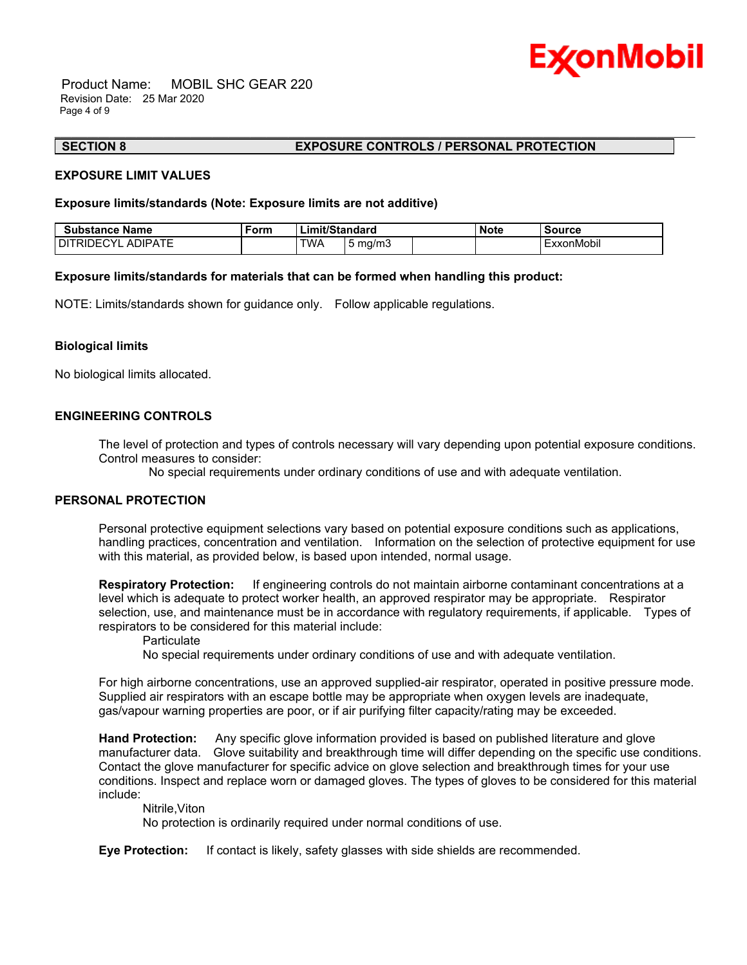

 Product Name: MOBIL SHC GEAR 220 Revision Date: 25 Mar 2020 Page 4 of 9

#### **SECTION 8 EXPOSURE CONTROLS / PERSONAL PROTECTION**

#### **EXPOSURE LIMIT VALUES**

#### **Exposure limits/standards (Note: Exposure limits are not additive)**

| <b>Substance Name</b> | ™⊡ | <b>Limit/Standard</b> |         | <b>Note</b> | Source     |
|-----------------------|----|-----------------------|---------|-------------|------------|
| I DITRIDECYL ADIPATE  |    | TWA                   | 5 ma/m3 |             | ExxonMobil |

\_\_\_\_\_\_\_\_\_\_\_\_\_\_\_\_\_\_\_\_\_\_\_\_\_\_\_\_\_\_\_\_\_\_\_\_\_\_\_\_\_\_\_\_\_\_\_\_\_\_\_\_\_\_\_\_\_\_\_\_\_\_\_\_\_\_\_\_\_\_\_\_\_\_\_\_\_\_\_\_\_\_\_\_\_\_\_\_\_\_\_\_\_\_\_\_\_\_\_\_\_\_\_\_\_\_\_\_\_\_\_\_\_\_\_\_\_\_

#### **Exposure limits/standards for materials that can be formed when handling this product:**

NOTE: Limits/standards shown for guidance only. Follow applicable regulations.

#### **Biological limits**

No biological limits allocated.

### **ENGINEERING CONTROLS**

The level of protection and types of controls necessary will vary depending upon potential exposure conditions. Control measures to consider:

No special requirements under ordinary conditions of use and with adequate ventilation.

#### **PERSONAL PROTECTION**

Personal protective equipment selections vary based on potential exposure conditions such as applications, handling practices, concentration and ventilation. Information on the selection of protective equipment for use with this material, as provided below, is based upon intended, normal usage.

**Respiratory Protection:** If engineering controls do not maintain airborne contaminant concentrations at a level which is adequate to protect worker health, an approved respirator may be appropriate. Respirator selection, use, and maintenance must be in accordance with regulatory requirements, if applicable. Types of respirators to be considered for this material include:

#### **Particulate**

No special requirements under ordinary conditions of use and with adequate ventilation.

For high airborne concentrations, use an approved supplied-air respirator, operated in positive pressure mode. Supplied air respirators with an escape bottle may be appropriate when oxygen levels are inadequate, gas/vapour warning properties are poor, or if air purifying filter capacity/rating may be exceeded.

**Hand Protection:** Any specific glove information provided is based on published literature and glove manufacturer data. Glove suitability and breakthrough time will differ depending on the specific use conditions. Contact the glove manufacturer for specific advice on glove selection and breakthrough times for your use conditions. Inspect and replace worn or damaged gloves. The types of gloves to be considered for this material include:

Nitrile,Viton

No protection is ordinarily required under normal conditions of use.

**Eye Protection:** If contact is likely, safety glasses with side shields are recommended.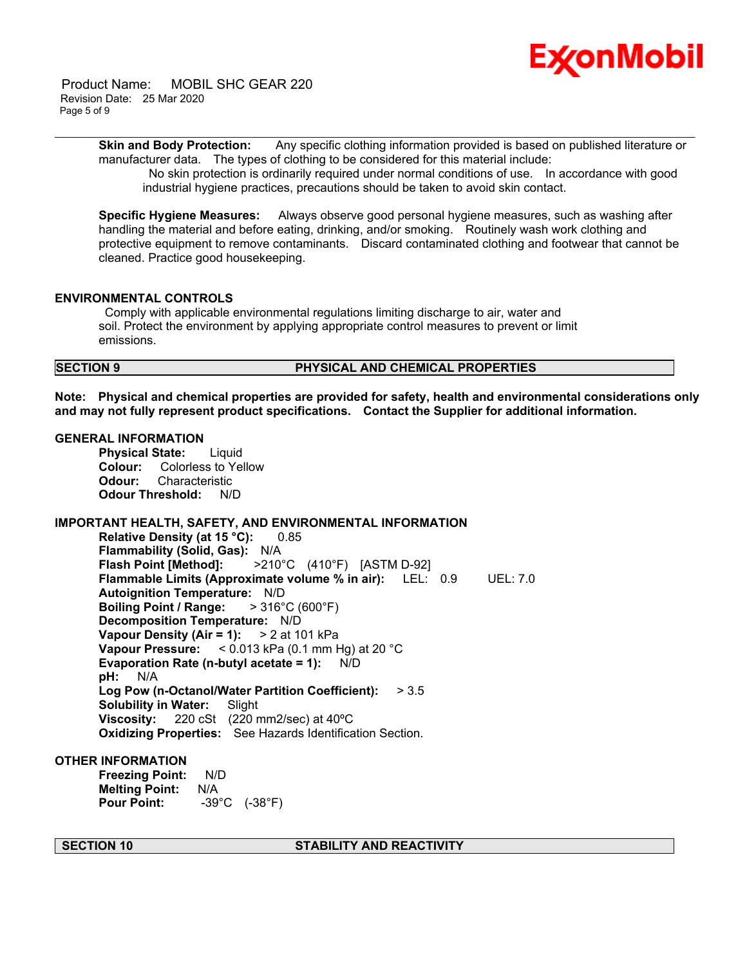

 Product Name: MOBIL SHC GEAR 220 Revision Date: 25 Mar 2020 Page 5 of 9

> **Skin and Body Protection:** Any specific clothing information provided is based on published literature or manufacturer data. The types of clothing to be considered for this material include:

\_\_\_\_\_\_\_\_\_\_\_\_\_\_\_\_\_\_\_\_\_\_\_\_\_\_\_\_\_\_\_\_\_\_\_\_\_\_\_\_\_\_\_\_\_\_\_\_\_\_\_\_\_\_\_\_\_\_\_\_\_\_\_\_\_\_\_\_\_\_\_\_\_\_\_\_\_\_\_\_\_\_\_\_\_\_\_\_\_\_\_\_\_\_\_\_\_\_\_\_\_\_\_\_\_\_\_\_\_\_\_\_\_\_\_\_\_\_

 No skin protection is ordinarily required under normal conditions of use. In accordance with good industrial hygiene practices, precautions should be taken to avoid skin contact.

**Specific Hygiene Measures:** Always observe good personal hygiene measures, such as washing after handling the material and before eating, drinking, and/or smoking. Routinely wash work clothing and protective equipment to remove contaminants. Discard contaminated clothing and footwear that cannot be cleaned. Practice good housekeeping.

#### **ENVIRONMENTAL CONTROLS**

 Comply with applicable environmental regulations limiting discharge to air, water and soil. Protect the environment by applying appropriate control measures to prevent or limit emissions.

#### **SECTION 9 PHYSICAL AND CHEMICAL PROPERTIES**

**Note: Physical and chemical properties are provided for safety, health and environmental considerations only and may not fully represent product specifications. Contact the Supplier for additional information.**

#### **GENERAL INFORMATION**

**Physical State:** Liquid **Colour:** Colorless to Yellow **Odour:** Characteristic **Odour Threshold:** N/D

### **IMPORTANT HEALTH, SAFETY, AND ENVIRONMENTAL INFORMATION**

**Relative Density (at 15 °C):** 0.85 **Flammability (Solid, Gas):** N/A **Flash Point [Method]:** >210°C (410°F) [ASTM D-92] **Flammable Limits (Approximate volume % in air):** LEL: 0.9 UEL: 7.0 **Autoignition Temperature:** N/D **Boiling Point / Range:** > 316°C (600°F) **Decomposition Temperature:** N/D **Vapour Density (Air = 1):** > 2 at 101 kPa **Vapour Pressure:** < 0.013 kPa (0.1 mm Hg) at 20 °C **Evaporation Rate (n-butyl acetate = 1):** N/D **pH:** N/A **Log Pow (n-Octanol/Water Partition Coefficient):** > 3.5 **Solubility in Water:** Slight **Viscosity:** 220 cSt (220 mm2/sec) at 40ºC **Oxidizing Properties:** See Hazards Identification Section.

### **OTHER INFORMATION**

**Freezing Point:** N/D **Melting Point:** N/A **Pour Point:** -39°C (-38°F)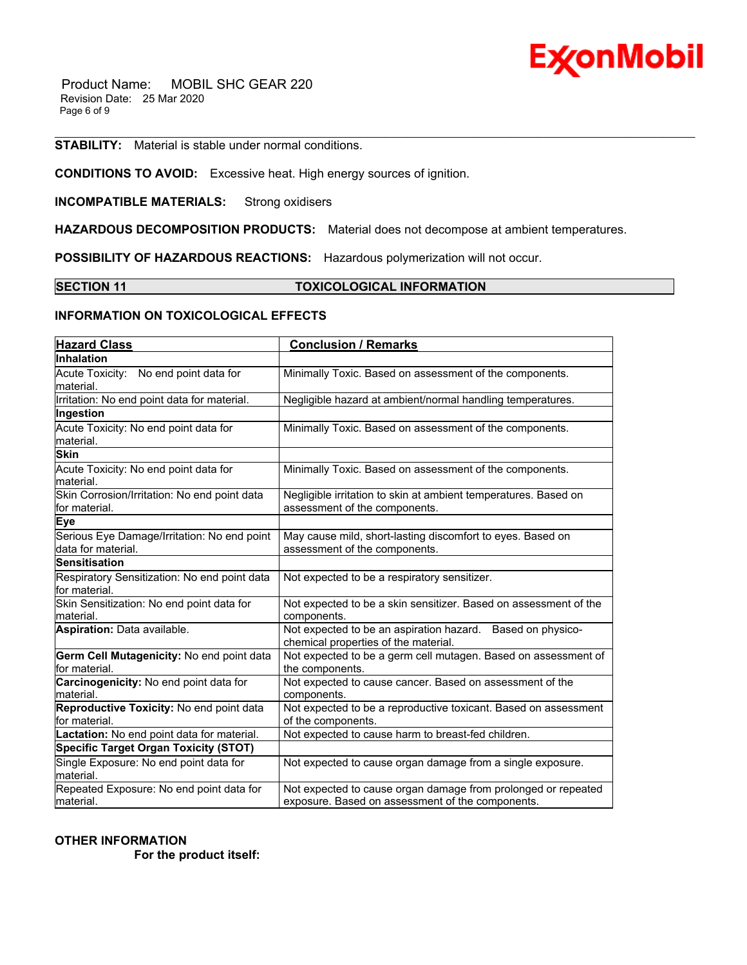

 Product Name: MOBIL SHC GEAR 220 Revision Date: 25 Mar 2020 Page 6 of 9

**STABILITY:** Material is stable under normal conditions.

**CONDITIONS TO AVOID:** Excessive heat. High energy sources of ignition.

**INCOMPATIBLE MATERIALS:** Strong oxidisers

**HAZARDOUS DECOMPOSITION PRODUCTS:** Material does not decompose at ambient temperatures.

**POSSIBILITY OF HAZARDOUS REACTIONS:** Hazardous polymerization will not occur.

#### **SECTION 11 TOXICOLOGICAL INFORMATION**

\_\_\_\_\_\_\_\_\_\_\_\_\_\_\_\_\_\_\_\_\_\_\_\_\_\_\_\_\_\_\_\_\_\_\_\_\_\_\_\_\_\_\_\_\_\_\_\_\_\_\_\_\_\_\_\_\_\_\_\_\_\_\_\_\_\_\_\_\_\_\_\_\_\_\_\_\_\_\_\_\_\_\_\_\_\_\_\_\_\_\_\_\_\_\_\_\_\_\_\_\_\_\_\_\_\_\_\_\_\_\_\_\_\_\_\_\_\_

### **INFORMATION ON TOXICOLOGICAL EFFECTS**

| <b>Hazard Class</b>                                               | <b>Conclusion / Remarks</b>                                                                                       |
|-------------------------------------------------------------------|-------------------------------------------------------------------------------------------------------------------|
| Inhalation                                                        |                                                                                                                   |
| Acute Toxicity: No end point data for<br>lmaterial.               | Minimally Toxic. Based on assessment of the components.                                                           |
| Irritation: No end point data for material.                       | Negligible hazard at ambient/normal handling temperatures.                                                        |
| Ingestion                                                         |                                                                                                                   |
| Acute Toxicity: No end point data for<br>material.                | Minimally Toxic. Based on assessment of the components.                                                           |
| <b>Skin</b>                                                       |                                                                                                                   |
| Acute Toxicity: No end point data for<br>material.                | Minimally Toxic. Based on assessment of the components.                                                           |
| Skin Corrosion/Irritation: No end point data<br>for material.     | Negligible irritation to skin at ambient temperatures. Based on<br>assessment of the components.                  |
| <b>Eye</b>                                                        |                                                                                                                   |
| Serious Eye Damage/Irritation: No end point<br>data for material. | May cause mild, short-lasting discomfort to eyes. Based on<br>assessment of the components.                       |
| <b>Sensitisation</b>                                              |                                                                                                                   |
| Respiratory Sensitization: No end point data<br>for material.     | Not expected to be a respiratory sensitizer.                                                                      |
| Skin Sensitization: No end point data for<br>lmaterial.           | Not expected to be a skin sensitizer. Based on assessment of the<br>components.                                   |
| Aspiration: Data available.                                       | Not expected to be an aspiration hazard. Based on physico-<br>chemical properties of the material.                |
| Germ Cell Mutagenicity: No end point data<br>for material.        | Not expected to be a germ cell mutagen. Based on assessment of<br>the components.                                 |
| Carcinogenicity: No end point data for<br>material.               | Not expected to cause cancer. Based on assessment of the<br>components.                                           |
| Reproductive Toxicity: No end point data<br>lfor material.        | Not expected to be a reproductive toxicant. Based on assessment<br>of the components.                             |
| Lactation: No end point data for material.                        | Not expected to cause harm to breast-fed children.                                                                |
| <b>Specific Target Organ Toxicity (STOT)</b>                      |                                                                                                                   |
| Single Exposure: No end point data for<br>lmaterial.              | Not expected to cause organ damage from a single exposure.                                                        |
| Repeated Exposure: No end point data for<br>lmaterial.            | Not expected to cause organ damage from prolonged or repeated<br>exposure. Based on assessment of the components. |

**OTHER INFORMATION**

 **For the product itself:**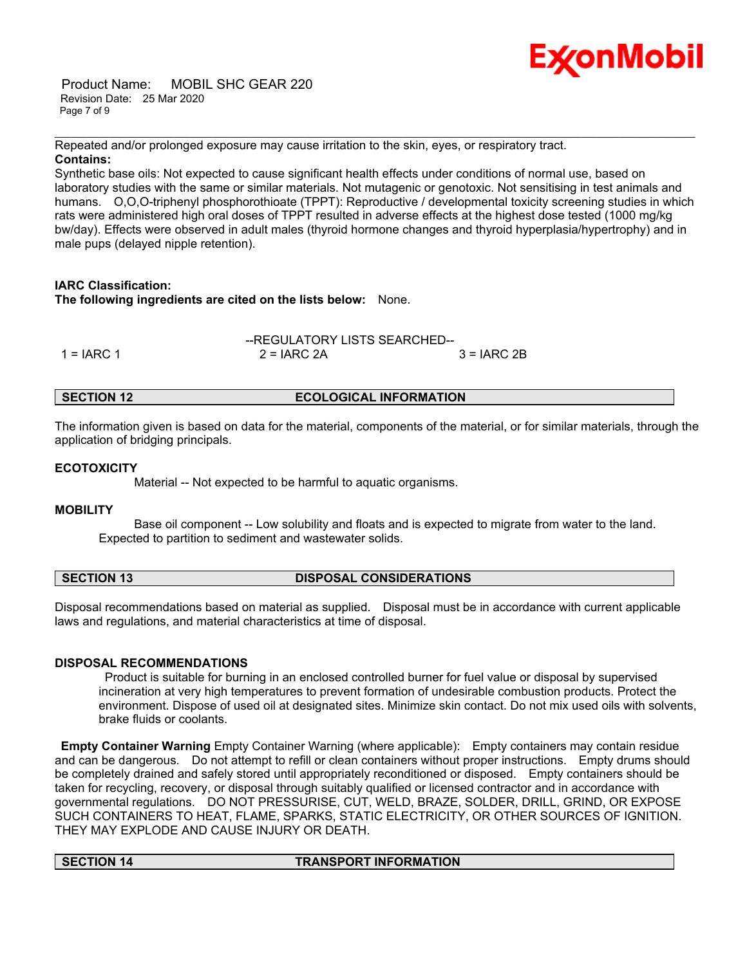Product Name: MOBIL SHC GEAR 220 Revision Date: 25 Mar 2020 Page 7 of 9



Repeated and/or prolonged exposure may cause irritation to the skin, eyes, or respiratory tract. **Contains:**

Synthetic base oils: Not expected to cause significant health effects under conditions of normal use, based on laboratory studies with the same or similar materials. Not mutagenic or genotoxic. Not sensitising in test animals and humans. O,O,O-triphenyl phosphorothioate (TPPT): Reproductive / developmental toxicity screening studies in which rats were administered high oral doses of TPPT resulted in adverse effects at the highest dose tested (1000 mg/kg bw/day). Effects were observed in adult males (thyroid hormone changes and thyroid hyperplasia/hypertrophy) and in male pups (delayed nipple retention).

\_\_\_\_\_\_\_\_\_\_\_\_\_\_\_\_\_\_\_\_\_\_\_\_\_\_\_\_\_\_\_\_\_\_\_\_\_\_\_\_\_\_\_\_\_\_\_\_\_\_\_\_\_\_\_\_\_\_\_\_\_\_\_\_\_\_\_\_\_\_\_\_\_\_\_\_\_\_\_\_\_\_\_\_\_\_\_\_\_\_\_\_\_\_\_\_\_\_\_\_\_\_\_\_\_\_\_\_\_\_\_\_\_\_\_\_\_\_

#### **IARC Classification:**

**The following ingredients are cited on the lists below:** None.

| --REGULATORY LISTS SEARCHED-- |               |              |  |
|-------------------------------|---------------|--------------|--|
| 1 = IARC 1                    | $2 = IARC 2A$ | $3 = IARC2B$ |  |

### **SECTION 12 ECOLOGICAL INFORMATION**

The information given is based on data for the material, components of the material, or for similar materials, through the application of bridging principals.

### **ECOTOXICITY**

Material -- Not expected to be harmful to aquatic organisms.

#### **MOBILITY**

 Base oil component -- Low solubility and floats and is expected to migrate from water to the land. Expected to partition to sediment and wastewater solids.

#### **SECTION 13 DISPOSAL CONSIDERATIONS**

Disposal recommendations based on material as supplied. Disposal must be in accordance with current applicable laws and regulations, and material characteristics at time of disposal.

#### **DISPOSAL RECOMMENDATIONS**

 Product is suitable for burning in an enclosed controlled burner for fuel value or disposal by supervised incineration at very high temperatures to prevent formation of undesirable combustion products. Protect the environment. Dispose of used oil at designated sites. Minimize skin contact. Do not mix used oils with solvents, brake fluids or coolants.

**Empty Container Warning** Empty Container Warning (where applicable): Empty containers may contain residue and can be dangerous. Do not attempt to refill or clean containers without proper instructions. Empty drums should be completely drained and safely stored until appropriately reconditioned or disposed. Empty containers should be taken for recycling, recovery, or disposal through suitably qualified or licensed contractor and in accordance with governmental regulations. DO NOT PRESSURISE, CUT, WELD, BRAZE, SOLDER, DRILL, GRIND, OR EXPOSE SUCH CONTAINERS TO HEAT, FLAME, SPARKS, STATIC ELECTRICITY, OR OTHER SOURCES OF IGNITION. THEY MAY EXPLODE AND CAUSE INJURY OR DEATH.

#### **SECTION 14 TRANSPORT INFORMATION**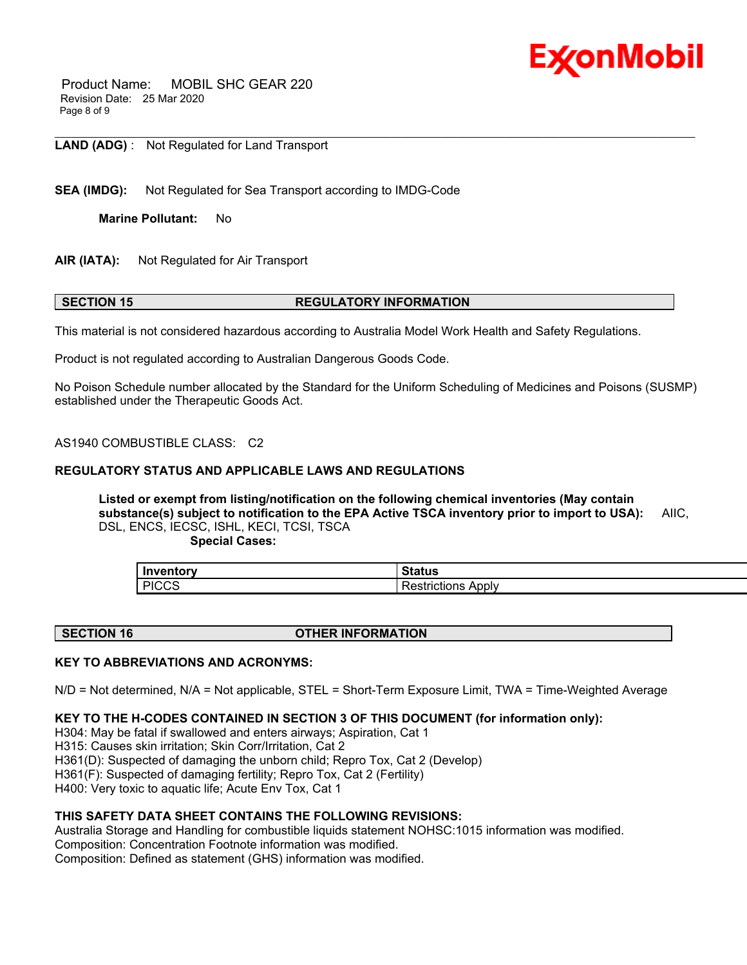

 Product Name: MOBIL SHC GEAR 220 Revision Date: 25 Mar 2020 Page 8 of 9

\_\_\_\_\_\_\_\_\_\_\_\_\_\_\_\_\_\_\_\_\_\_\_\_\_\_\_\_\_\_\_\_\_\_\_\_\_\_\_\_\_\_\_\_\_\_\_\_\_\_\_\_\_\_\_\_\_\_\_\_\_\_\_\_\_\_\_\_\_\_\_\_\_\_\_\_\_\_\_\_\_\_\_\_\_\_\_\_\_\_\_\_\_\_\_\_\_\_\_\_\_\_\_\_\_\_\_\_\_\_\_\_\_\_\_\_\_\_ **LAND (ADG)** : Not Regulated for Land Transport

**SEA (IMDG):** Not Regulated for Sea Transport according to IMDG-Code

**Marine Pollutant:** No

**AIR (IATA):** Not Regulated for Air Transport

#### **SECTION 15 REGULATORY INFORMATION**

This material is not considered hazardous according to Australia Model Work Health and Safety Regulations.

Product is not regulated according to Australian Dangerous Goods Code.

No Poison Schedule number allocated by the Standard for the Uniform Scheduling of Medicines and Poisons (SUSMP) established under the Therapeutic Goods Act.

AS1940 COMBUSTIBLE CLASS: C2

#### **REGULATORY STATUS AND APPLICABLE LAWS AND REGULATIONS**

**Listed or exempt from listing/notification on the following chemical inventories (May contain substance(s) subject to notification to the EPA Active TSCA inventory prior to import to USA):** AIIC, DSL, ENCS, IECSC, ISHL, KECI, TCSI, TSCA

 **Special Cases:**

| Inventory    | Status          |
|--------------|-----------------|
| <b>PICCS</b> | Apply           |
| . טטט        | <b>TICTIONS</b> |

#### **SECTION 16 OTHER INFORMATION**

#### **KEY TO ABBREVIATIONS AND ACRONYMS:**

N/D = Not determined, N/A = Not applicable, STEL = Short-Term Exposure Limit, TWA = Time-Weighted Average

#### **KEY TO THE H-CODES CONTAINED IN SECTION 3 OF THIS DOCUMENT (for information only):**

H304: May be fatal if swallowed and enters airways; Aspiration, Cat 1

H315: Causes skin irritation; Skin Corr/Irritation, Cat 2

H361(D): Suspected of damaging the unborn child; Repro Tox, Cat 2 (Develop)

H361(F): Suspected of damaging fertility; Repro Tox, Cat 2 (Fertility)

H400: Very toxic to aquatic life; Acute Env Tox, Cat 1

#### **THIS SAFETY DATA SHEET CONTAINS THE FOLLOWING REVISIONS:**

Australia Storage and Handling for combustible liquids statement NOHSC:1015 information was modified. Composition: Concentration Footnote information was modified. Composition: Defined as statement (GHS) information was modified.